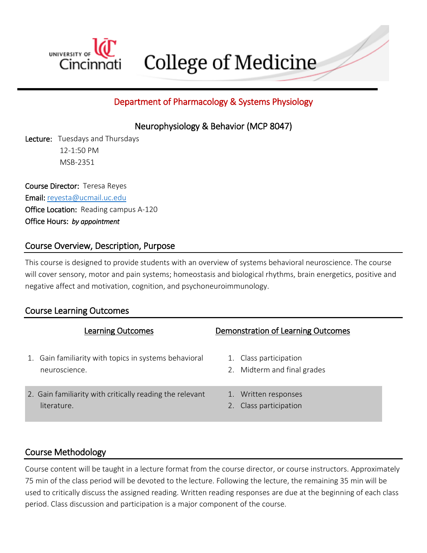

College of Medicine

# Department of Pharmacology & Systems Physiology

Neurophysiology & Behavior (MCP 8047)

Lecture: Tuesdays and Thursdays 12-1:50 PM MSB-2351

Course Director: Teresa Reyes Email: [reyesta@ucmail.uc.edu](mailto:reyesta@ucmail.uc.edu) Office Location: Reading campus A-120 Office Hours: *by appointment*

## Course Overview, Description, Purpose

This course is designed to provide students with an overview of systems behavioral neuroscience. The course will cover sensory, motor and pain systems; homeostasis and biological rhythms, brain energetics, positive and negative affect and motivation, cognition, and psychoneuroimmunology.

|    | <b>Learning Outcomes</b>                                                | Demonstration of Learning Outcomes                    |
|----|-------------------------------------------------------------------------|-------------------------------------------------------|
| 1. | Gain familiarity with topics in systems behavioral<br>neuroscience.     | 1. Class participation<br>2. Midterm and final grades |
|    | 2. Gain familiarity with critically reading the relevant<br>literature. | 1. Written responses<br>Class participation           |

## Course Learning Outcomes

# Course Methodology

Course content will be taught in a lecture format from the course director, or course instructors. Approximately 75 min of the class period will be devoted to the lecture. Following the lecture, the remaining 35 min will be used to critically discuss the assigned reading. Written reading responses are due at the beginning of each class period. Class discussion and participation is a major component of the course.